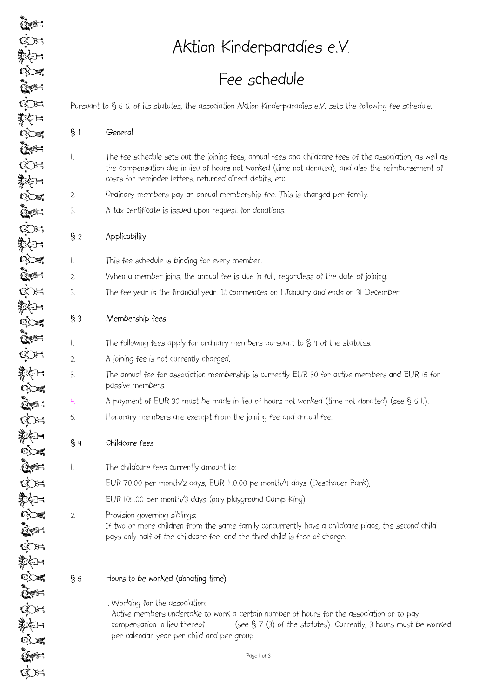Aktion Kinderparadies e.V.

# Fee schedule

Pursuant to § 5 5. of its statutes, the association Aktion Kinderparadies e.V. sets the following fee schedule.

| General |
|---------|
|         |

- 1. The fee schedule sets out the joining fees, annual fees and childcare fees of the association, as well as the compensation due in lieu of hours not worked (time not donated), and also the reimbursement of costs for reminder letters, returned direct debits, etc.
- 2. Ordinary members pay an annual membership fee. This is charged per family.
- 3. A tax certificate is issued upon request for donations.

# § 2 Applicability

- 1. This fee schedule is binding for every member.
- 2. When a member joins, the annual fee is due in full, regardless of the date of joining.
- 3. The fee year is the financial year. It commences on 1 January and ends on 31 December.

# § 3 Membership fees

- 1. The following fees apply for ordinary members pursuant to § 4 of the statutes.
- 2. A joining fee is not currently charged.
- 3. The annual fee for association membership is currently EUR 30 for active members and EUR 15 for passive members.
- 4. A payment of EUR 30 must be made in lieu of hours not worked (time not donated) (see § 5 1.).
- 5. Honorary members are exempt from the joining fee and annual fee.

# § 4 Childcare fees

- 1. The childcare fees currently amount to:
	- EUR 70.00 per month/2 days, EUR 140.00 pe month/4 days (Deschauer Park),

EUR 105.00 per month/3 days (only playground Camp King)

2. Provision governing siblings:

If two or more children from the same family concurrently have a childcare place, the second child pays only half of the childcare fee, and the third child is free of charge.

# § 5 Hours to be worked (donating time)

1. Working for the association: Active members undertake to work a certain number of hours for the association or to pay compensation in lieu thereof (see  $\S 7$  (3) of the statutes). Currently, 3 hours must be worked per calendar year per child and per group.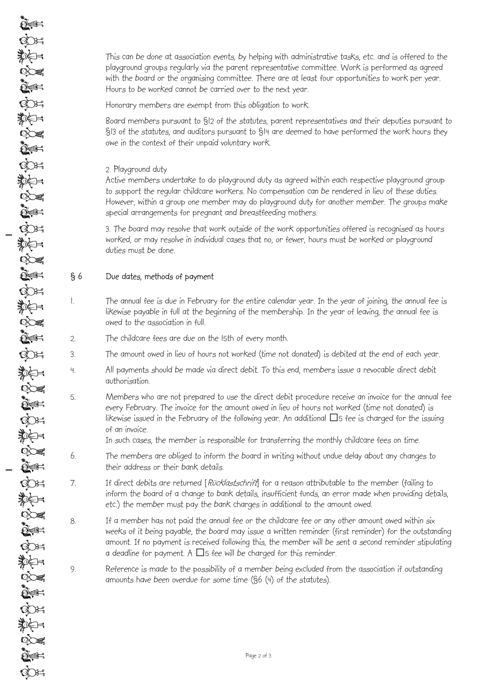$\sum_{i=1}^n$ COH

> This can be done at association events, by helping with administrative tasks, etc. and is offered to the playground groups regularly via the parent representative committee. Work is performed as agreed with the board or the organising committee. There are at least four opportunities to work per year. Hours to be worked cannot be carried over to the next year.

Honorary members are exempt from this obligation to work.

Board members pursuant to §12 of the statutes, parent representatives and their deputies pursuant to §13 of the statutes, and auditors pursuant to §14 are deemed to have performed the work hours they owe in the context of their unpaid voluntary work.

#### 2. Playground duty

Active members undertake to do playground duty as agreed within each respective playground group to support the regular childcare workers. No compensation can be rendered in lieu of these duties. However, within a group one member may do playground duty for another member. The groups make special arrangements for pregnant and breastfeeding mothers.

3. The board may resolve that work outside of the work opportunities offered is recognised as hours worked, or may resolve in individual cases that no, or fewer, hours must be worked or playground duties must be done.

### § 6 Due dates, methods of payment

- 1. The annual fee is due in February for the entire calendar year. In the year of joining, the annual fee is likewise payable in full at the beginning of the membership. In the year of leaving, the annual fee is owed to the association in full.
- 2. The childcare fees are due on the 15th of every month.
- 3. The amount owed in lieu of hours not worked (time not donated) is debited at the end of each year.
- 4. All payments should be made via direct debit. To this end, members issue a revocable direct debit authorisation.
- 5. Members who are not prepared to use the direct debit procedure receive an invoice for the annual fee every February. The invoice for the amount owed in lieu of hours not worked (time not donated) is likewise issued in the February of the following year. An additional  $\Box$ 5 fee is charged for the issuing of an invoice.

In such cases, the member is responsible for transferring the monthly childcare fees on time.

- 6. The members are obliged to inform the board in writing without undue delay about any changes to their address or their bank details.
- 7. If direct debits are returned [Rücklastschrift] for a reason attributable to the member (failing to inform the board of a change to bank details, insufficient funds, an error made when providing details, etc.) the member must pay the bank charges in additional to the amount owed.
- 8. If a member has not paid the annual fee or the childcare fee or any other amount owed within six weeks of it being payable, the board may issue a written reminder (first reminder) for the outstanding amount. If no payment is received following this, the member will be sent a second reminder stipulating a deadline for payment. A  $\square$ 5 fee will be charged for this reminder.
- 9. Reference is made to the possibility of a member being excluded from the association if outstanding amounts have been overdue for some time (§6 (4) of the statutes).